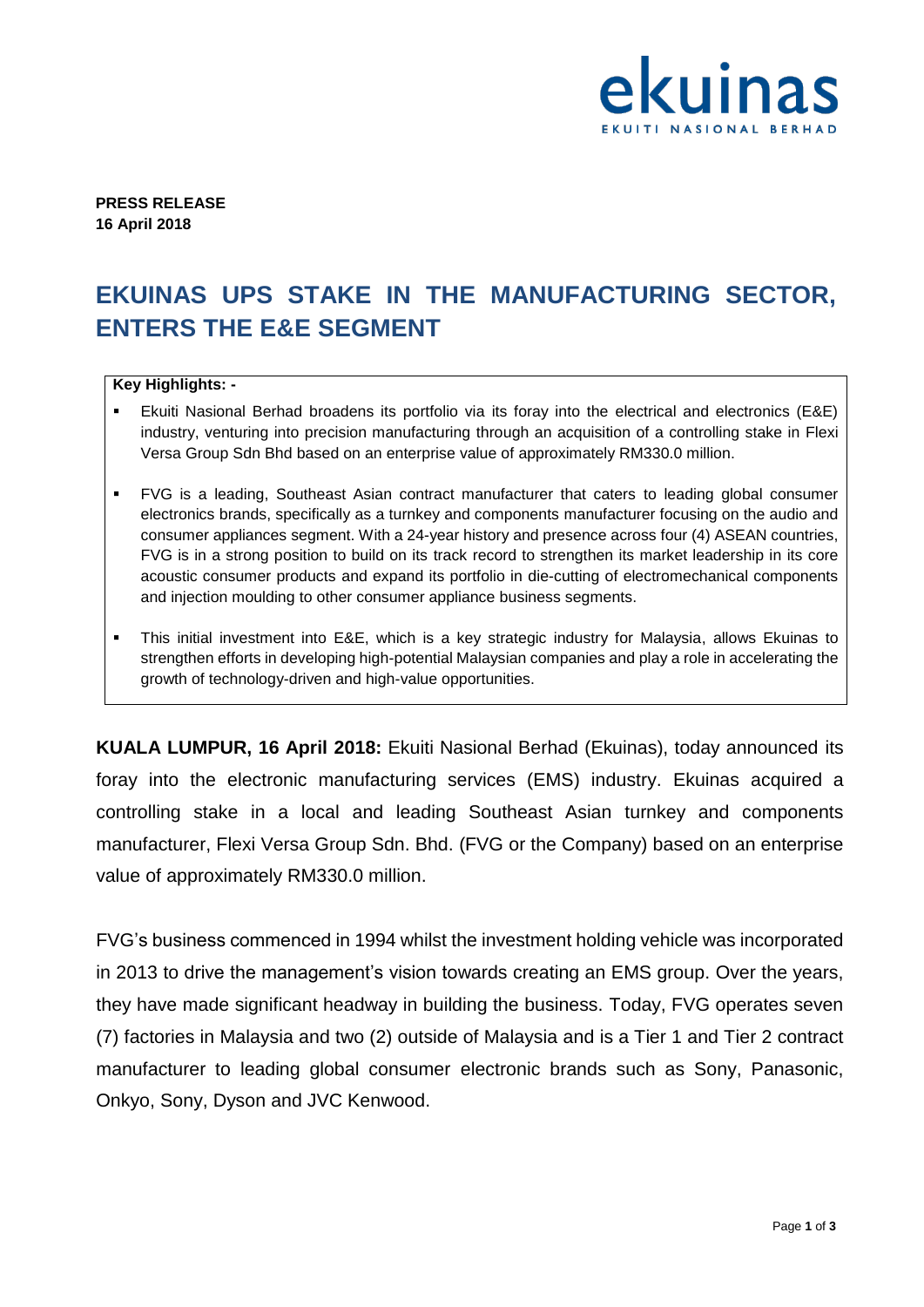

**PRESS RELEASE 16 April 2018**

## **EKUINAS UPS STAKE IN THE MANUFACTURING SECTOR, ENTERS THE E&E SEGMENT**

## **Key Highlights: -**

- Ekuiti Nasional Berhad broadens its portfolio via its foray into the electrical and electronics (E&E) industry, venturing into precision manufacturing through an acquisition of a controlling stake in Flexi Versa Group Sdn Bhd based on an enterprise value of approximately RM330.0 million.
- FVG is a leading, Southeast Asian contract manufacturer that caters to leading global consumer electronics brands, specifically as a turnkey and components manufacturer focusing on the audio and consumer appliances segment. With a 24-year history and presence across four (4) ASEAN countries, FVG is in a strong position to build on its track record to strengthen its market leadership in its core acoustic consumer products and expand its portfolio in die-cutting of electromechanical components and injection moulding to other consumer appliance business segments.
- This initial investment into E&E, which is a key strategic industry for Malaysia, allows Ekuinas to strengthen efforts in developing high-potential Malaysian companies and play a role in accelerating the growth of technology-driven and high-value opportunities.

**KUALA LUMPUR, 16 April 2018:** Ekuiti Nasional Berhad (Ekuinas), today announced its foray into the electronic manufacturing services (EMS) industry. Ekuinas acquired a controlling stake in a local and leading Southeast Asian turnkey and components manufacturer, Flexi Versa Group Sdn. Bhd. (FVG or the Company) based on an enterprise value of approximately RM330.0 million.

FVG's business commenced in 1994 whilst the investment holding vehicle was incorporated in 2013 to drive the management's vision towards creating an EMS group. Over the years, they have made significant headway in building the business. Today, FVG operates seven (7) factories in Malaysia and two (2) outside of Malaysia and is a Tier 1 and Tier 2 contract manufacturer to leading global consumer electronic brands such as Sony, Panasonic, Onkyo, Sony, Dyson and JVC Kenwood.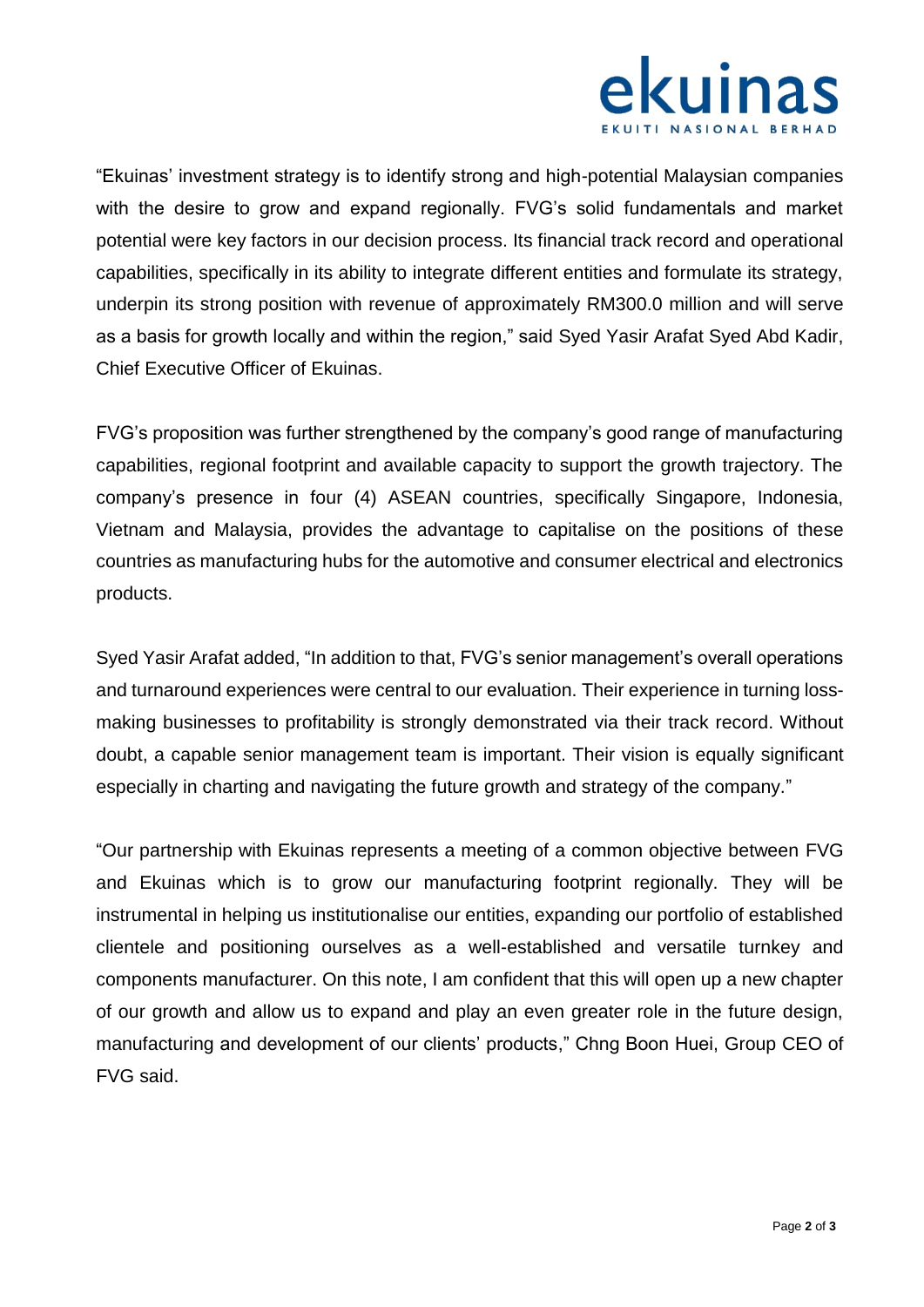

"Ekuinas' investment strategy is to identify strong and high-potential Malaysian companies with the desire to grow and expand regionally. FVG's solid fundamentals and market potential were key factors in our decision process. Its financial track record and operational capabilities, specifically in its ability to integrate different entities and formulate its strategy, underpin its strong position with revenue of approximately RM300.0 million and will serve as a basis for growth locally and within the region," said Syed Yasir Arafat Syed Abd Kadir, Chief Executive Officer of Ekuinas.

FVG's proposition was further strengthened by the company's good range of manufacturing capabilities, regional footprint and available capacity to support the growth trajectory. The company's presence in four (4) ASEAN countries, specifically Singapore, Indonesia, Vietnam and Malaysia, provides the advantage to capitalise on the positions of these countries as manufacturing hubs for the automotive and consumer electrical and electronics products.

Syed Yasir Arafat added, "In addition to that, FVG's senior management's overall operations and turnaround experiences were central to our evaluation. Their experience in turning lossmaking businesses to profitability is strongly demonstrated via their track record. Without doubt, a capable senior management team is important. Their vision is equally significant especially in charting and navigating the future growth and strategy of the company."

"Our partnership with Ekuinas represents a meeting of a common objective between FVG and Ekuinas which is to grow our manufacturing footprint regionally. They will be instrumental in helping us institutionalise our entities, expanding our portfolio of established clientele and positioning ourselves as a well-established and versatile turnkey and components manufacturer. On this note, I am confident that this will open up a new chapter of our growth and allow us to expand and play an even greater role in the future design, manufacturing and development of our clients' products," Chng Boon Huei, Group CEO of FVG said.